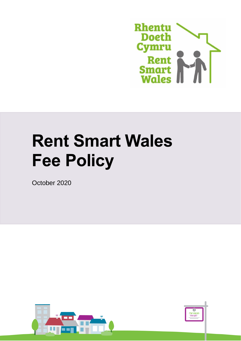

# **Rent Smart Wales Fee Policy**

October 2020



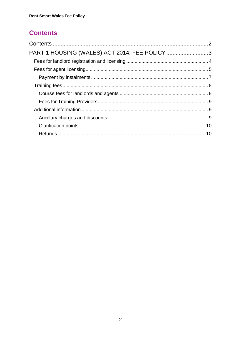# <span id="page-1-0"></span>**Contents**

| PART 1 HOUSING (WALES) ACT 2014: FEE POLICY 3 |  |
|-----------------------------------------------|--|
|                                               |  |
|                                               |  |
|                                               |  |
|                                               |  |
|                                               |  |
|                                               |  |
|                                               |  |
|                                               |  |
|                                               |  |
|                                               |  |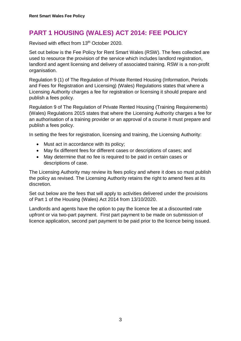# <span id="page-2-0"></span>**PART 1 HOUSING (WALES) ACT 2014: FEE POLICY**

Revised with effect from 13<sup>th</sup> October 2020.

Set out below is the Fee Policy for Rent Smart Wales (RSW). The fees collected are used to resource the provision of the service which includes landlord registration, landlord and agent licensing and delivery of associated training. RSW is a non-profit organisation.

Regulation 9 (1) of The Regulation of Private Rented Housing (Information, Periods and Fees for Registration and Licensing) (Wales) Regulations states that where a Licensing Authority charges a fee for registration or licensing it should prepare and publish a fees policy.

Regulation 9 of The Regulation of Private Rented Housing (Training Requirements) (Wales) Regulations 2015 states that where the Licensing Authority charges a fee for an authorisation of a training provider or an approval of a course it must prepare and publish a fees policy.

In setting the fees for registration, licensing and training, the Licensing Authority:

- Must act in accordance with its policy;
- May fix different fees for different cases or descriptions of cases; and
- May determine that no fee is required to be paid in certain cases or descriptions of case.

The Licensing Authority may review its fees policy and where it does so must publish the policy as revised. The Licensing Authority retains the right to amend fees at its discretion.

Set out below are the fees that will apply to activities delivered under the provisions of Part 1 of the Housing (Wales) Act 2014 from 13/10/2020.

Landlords and agents have the option to pay the licence fee at a discounted rate upfront or via two-part payment. First part payment to be made on submission of licence application, second part payment to be paid prior to the licence being issued.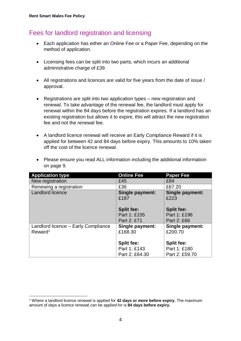<u>.</u>

## <span id="page-3-0"></span>Fees for landlord registration and licensing

- Each application has either an Online Fee or a Paper Fee, depending on the method of application.
- Licensing fees can be split into two parts, which incurs an additional administrative charge of £39.
- All registrations and licences are valid for five years from the date of issue / approval.
- Registrations are split into two application types new registration and renewal. To take advantage of the renewal fee, the landlord must apply for renewal within the 84 days before the registration expires. If a landlord has an existing registration but allows it to expire, this will attract the new registration fee and not the renewal fee.
- A landlord licence renewal will receive an Early Compliance Reward if it is applied for between 42 and 84 days before expiry. This amounts to 10% taken off the cost of the licence renewal.

| <b>Application type</b>             | <b>Online Fee</b>       | <b>Paper Fee</b>        |
|-------------------------------------|-------------------------|-------------------------|
| New registration                    | £45                     | £84                     |
| Renewing a registration             | £36                     | £67.20                  |
| <b>Landlord licence</b>             | Single payment:<br>£187 | Single payment:<br>£223 |
|                                     | <b>Split fee:</b>       | <b>Split fee:</b>       |
|                                     | Part 1: £155            | Part 1: £196            |
|                                     | Part 2: £71             | Part 2: £66             |
| Landlord licence - Early Compliance | <b>Single payment:</b>  | Single payment:         |
| Reward <sup>1</sup>                 | £168.30                 | £200.70                 |
|                                     | <b>Split fee:</b>       | <b>Split fee:</b>       |
|                                     | Part 1: £143            | Part 1: £180            |
|                                     | Part 2: £64.30          | Part 2: £59.70          |

 Please ensure you read ALL information including the additional information on page 9.

<sup>1</sup> Where a landlord licence renewal is applied for **42 days or more before expiry.** The maximum amount of days a licence renewal can be applied for is **84 days before expiry.**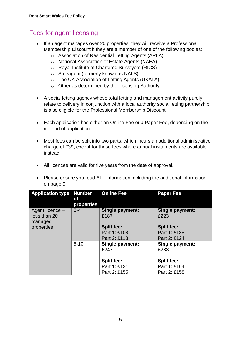## <span id="page-4-0"></span>Fees for agent licensing

- If an agent manages over 20 properties, they will receive a Professional Membership Discount if they are a member of one of the following bodies:
	- o Association of Residential Letting Agents (ARLA)
	- o National Association of Estate Agents (NAEA)
	- o Royal Institute of Chartered Surveyors (RICS)
	- o Safeagent (formerly known as NALS)
	- o The UK Association of Letting Agents (UKALA)
	- o Other as determined by the Licensing Authority
- A social letting agency whose total letting and management activity purely relate to delivery in conjunction with a local authority social letting partnership is also eligible for the Professional Membership Discount.
- Each application has either an Online Fee or a Paper Fee, depending on the method of application.
- Most fees can be split into two parts, which incurs an additional administrative charge of £39, except for those fees where annual instalments are available instead.
- All licences are valid for five years from the date of approval.
- Please ensure you read ALL information including the additional information on page 9.

| <b>Application type Number</b>  | оf                           | <b>Online Fee</b>                 | <b>Paper Fee</b>                  |
|---------------------------------|------------------------------|-----------------------------------|-----------------------------------|
| Agent licence -<br>less than 20 | <b>properties</b><br>$0 - 4$ | <b>Single payment:</b><br>£187    | <b>Single payment:</b><br>£223    |
| managed<br>properties           |                              | <b>Split fee:</b><br>Part 1: £108 | <b>Split fee:</b><br>Part 1: £138 |
|                                 |                              | Part 2: £118                      | Part 2: £124                      |
|                                 | $5 - 10$                     | Single payment:<br>£247           | Single payment:<br>£283           |
|                                 |                              | <b>Split fee:</b>                 | <b>Split fee:</b>                 |
|                                 |                              | Part 1: £131                      | Part 1: £164                      |
|                                 |                              | Part 2: £155                      | Part 2: £158                      |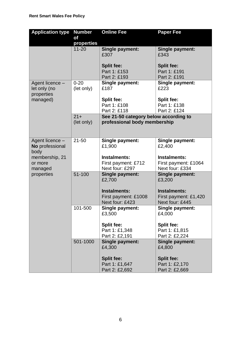| <b>Application type</b>                       | <b>Number</b>          | <b>Online Fee</b>                     | <b>Paper Fee</b>                 |
|-----------------------------------------------|------------------------|---------------------------------------|----------------------------------|
|                                               | of                     |                                       |                                  |
|                                               | properties             |                                       |                                  |
|                                               | $11 - 20$              | <b>Single payment:</b><br>£307        | Single payment:<br>£343          |
|                                               |                        | <b>Split fee:</b>                     | <b>Split fee:</b>                |
|                                               |                        | Part 1: £153                          | Part 1: £191                     |
|                                               |                        | Part 2: £193                          | Part 2: £191                     |
| Agent licence -<br>let only (no<br>properties | $0 - 20$<br>(let only) | Single payment:<br>£187               | Single payment:<br>£223          |
| managed)                                      |                        | <b>Split fee:</b>                     | <b>Split fee:</b>                |
|                                               |                        | Part 1: £108                          | Part 1: £138                     |
|                                               |                        | Part 2: £118                          | Part 2: £124                     |
|                                               | $21 +$                 | See 21-50 category below according to |                                  |
|                                               | (let only)             | professional body membership          |                                  |
| Agent licence -                               | $21 - 50$              | Single payment:                       | Single payment:                  |
| No professional<br>body                       |                        | £1,900                                | £2,400                           |
| membership, 21                                |                        | Instalments:                          | Instalments:                     |
| or more                                       |                        | First payment: £712                   | First payment: £1064             |
| managed                                       |                        | Next four: £297                       | Next four: £334                  |
| properties                                    | 51-100                 | Single payment:<br>£2,700             | Single payment:<br>£3,200        |
|                                               |                        | Instalments:                          | Instalments:                     |
|                                               |                        | First payment: £1008                  | First payment: £1,420            |
|                                               |                        | Next four: £423                       | Next four: £445                  |
|                                               | 101-500                | <b>Single payment:</b><br>£3,500      | Single payment:<br>£4,000        |
|                                               |                        | <b>Split fee:</b>                     | <b>Split fee:</b>                |
|                                               |                        | Part 1: £1,348                        | Part 1: £1,815                   |
|                                               |                        | Part 2: £2,191                        | Part 2: £2,224                   |
|                                               | 501-1000               | <b>Single payment:</b><br>£4,300      | Single payment:<br>£4,800        |
|                                               |                        |                                       |                                  |
|                                               |                        | <b>Split fee:</b>                     | <b>Split fee:</b>                |
|                                               |                        | Part 1: £1,647<br>Part 2: £2,692      | Part 1: £2,170<br>Part 2: £2,669 |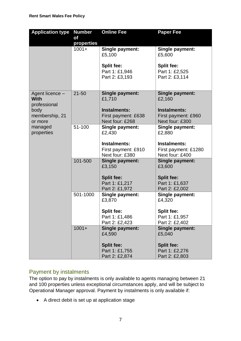| <b>Application type</b>                                | <b>Number</b> | <b>Online Fee</b>                                      | <b>Paper Fee</b>                                        |
|--------------------------------------------------------|---------------|--------------------------------------------------------|---------------------------------------------------------|
|                                                        | of            |                                                        |                                                         |
|                                                        | properties    |                                                        |                                                         |
|                                                        | $1001 +$      | Single payment:<br>£5,100                              | Single payment:<br>£5,600                               |
|                                                        |               | <b>Split fee:</b><br>Part 1: £1,946<br>Part 2: £3,193  | <b>Split fee:</b><br>Part 1: £2,525<br>Part 2: £3,114   |
| Agent licence -<br><b>With</b><br>professional<br>body | $21 - 50$     | Single payment:<br>£1,710<br>Instalments:              | Single payment:<br>£2,160<br>Instalments:               |
| membership, 21<br>or more                              |               | First payment: £638<br>Next four: £268                 | First payment: £960<br>Next four: £300                  |
| managed<br>properties                                  | 51-100        | Single payment:<br>£2,430                              | Single payment:<br>£2,880                               |
|                                                        |               | Instalments:<br>First payment: £910<br>Next four: £380 | Instalments:<br>First payment: £1280<br>Next four: £400 |
|                                                        | 101-500       | Single payment:<br>£3,150                              | Single payment:<br>£3,600                               |
|                                                        |               | <b>Split fee:</b><br>Part 1: £1,217<br>Part 2: £1,972  | <b>Split fee:</b><br>Part 1: £1,637<br>Part 2: £2,002   |
|                                                        | 501-1000      | Single payment:<br>£3,870                              | Single payment:<br>£4,320                               |
|                                                        |               | <b>Split fee:</b><br>Part 1: £1,486<br>Part 2: £2,423  | <b>Split fee:</b><br>Part 1: £1,957<br>Part 2: £2,402   |
|                                                        | $1001 +$      | Single payment:<br>£4,590                              | <b>Single payment:</b><br>£5,040                        |
|                                                        |               | <b>Split fee:</b>                                      | <b>Split fee:</b>                                       |
|                                                        |               | Part 1: £1,755<br>Part 2: £2,874                       | Part 1: £2,276<br>Part 2: £2,803                        |

#### <span id="page-6-0"></span>Payment by instalments

The option to pay by instalments is only available to agents managing between 21 and 100 properties unless exceptional circumstances apply, and will be subject to Operational Manager approval. Payment by instalments is only available if:

A direct debit is set up at application stage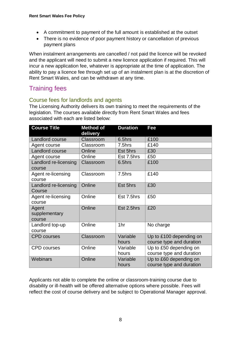- A commitment to payment of the full amount is established at the outset
- There is no evidence of poor payment history or cancellation of previous payment plans

When instalment arrangements are cancelled / not paid the licence will be revoked and the applicant will need to submit a new licence application if required. This will incur a new application fee, whatever is appropriate at the time of application. The ability to pay a licence fee through set up of an instalment plan is at the discretion of Rent Smart Wales, and can be withdrawn at any time.

# <span id="page-7-0"></span>Training fees

#### <span id="page-7-1"></span>Course fees for landlords and agents

The Licensing Authority delivers its own training to meet the requirements of the legislation. The courses available directly from Rent Smart Wales and fees associated with each are listed below:

| <b>Course Title</b>              | <b>Method of</b><br>delivery | <b>Duration</b>   | Fee                                                 |
|----------------------------------|------------------------------|-------------------|-----------------------------------------------------|
| Landlord course                  | Classroom                    | 6.5hrs            | £100                                                |
| Agent course                     | Classroom                    | 7.5hrs            | £140                                                |
| Landlord course                  | Online                       | Est 5hrs          | £30                                                 |
| Agent course                     | Online                       | Est 7.5hrs        | £50                                                 |
| Landlord re-licensing<br>course  | Classroom                    | 6.5hrs            | £100                                                |
| Agent re-licensing<br>course     | Classroom                    | 7.5hrs            | £140                                                |
| Landlord re-licensing<br>Course  | Online                       | Est 5hrs          | £30                                                 |
| Agent re-licensing<br>course     | Online                       | Est 7.5hrs        | £50                                                 |
| Agent<br>supplementary<br>course | Online                       | Est 2.5hrs        | £20                                                 |
| Landlord top-up<br>course        | Online                       | 1hr               | No charge                                           |
| <b>CPD courses</b>               | Classroom                    | Variable<br>hours | Up to £100 depending on<br>course type and duration |
| <b>CPD</b> courses               | Online                       | Variable<br>hours | Up to £50 depending on<br>course type and duration  |
| Webinars                         | Online                       | Variable<br>hours | Up to £60 depending on<br>course type and duration  |

Applicants not able to complete the online or classroom-training course due to disability or ill-health will be offered alternative options where possible. Fees will reflect the cost of course delivery and be subject to Operational Manager approval.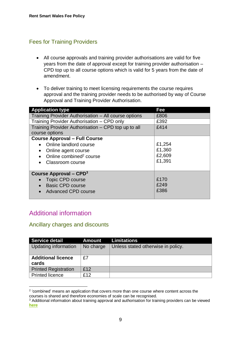### <span id="page-8-0"></span>Fees for Training Providers

- All course approvals and training provider authorisations are valid for five years from the date of approval except for training provider authorisation – CPD top up to all course options which is valid for 5 years from the date of amendment.
- To deliver training to meet licensing requirements the course requires approval and the training provider needs to be authorised by way of Course Approval and Training Provider Authorisation.

| <b>Application type</b>                              | Fee    |
|------------------------------------------------------|--------|
| Training Provider Authorisation – All course options | £806   |
| Training Provider Authorisation - CPD only           | £392   |
| Training Provider Authorisation - CPD top up to all  | £414   |
| course options                                       |        |
| <b>Course Approval - Full Course</b>                 |        |
| • Online landlord course                             | £1,254 |
| Online agent course                                  | £1,360 |
| Online combined <sup>2</sup> course                  | £2,609 |
| Classroom course<br>$\bullet$                        | £1,391 |
|                                                      |        |
| Course Approval – $\mathsf{CPD}^3$                   |        |
| <b>Topic CPD course</b>                              | £170   |
| <b>Basic CPD course</b>                              | £249   |
| <b>Advanced CPD course</b>                           | £386   |

## <span id="page-8-1"></span>Additional information

#### <span id="page-8-2"></span>Ancillary charges and discounts

| <b>Service detail</b>              | <b>Amount</b> | <b>Limitations</b>                 |
|------------------------------------|---------------|------------------------------------|
| Updating information               | No charge     | Unless stated otherwise in policy. |
| <b>Additional licence</b><br>cards | £7            |                                    |
| <b>Printed Registration</b>        | £12           |                                    |
| <b>Printed licence</b>             | £12           |                                    |

<sup>1</sup> <sup>2</sup> 'combined' means an application that covers more than one course where content across the courses is shared and therefore economies of scale can be recognised.

<sup>&</sup>lt;sup>3</sup> Additional information about training approval and authorisation for training providers can be viewed **[here](https://www.rentsmart.gov.wales/en/resource-library/)**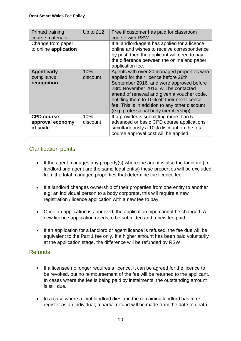| <b>Printed training</b><br>course materials<br>Change from paper<br>to online application | Up to £12       | Free if customer has paid for classroom<br>course with RSW.<br>If a landlord/agent has applied for a licence<br>online and wishes to receive correspondence<br>by post, then the applicant will need to pay<br>the difference between the online and paper                                                                                                                           |
|-------------------------------------------------------------------------------------------|-----------------|--------------------------------------------------------------------------------------------------------------------------------------------------------------------------------------------------------------------------------------------------------------------------------------------------------------------------------------------------------------------------------------|
| <b>Agent early</b><br>compliance<br>recognition                                           | 10%<br>discount | application fee.<br>Agents with over 20 managed properties who<br>applied for their licence before 28th<br>September 2016, and were approved before<br>23rd November 2016, will be contacted<br>ahead of renewal and given a voucher code,<br>entitling them to 10% off their next licence<br>fee. This is in addition to any other discount<br>(e.g. professional body membership). |
| <b>CPD course</b><br>approval economy<br>of scale                                         | 10%<br>discount | If a provider is submitting more than 5<br>advanced or basic CPD course applications<br>simultaneously a 10% discount on the total<br>course approval cost will be applied                                                                                                                                                                                                           |

## <span id="page-9-0"></span>Clarification points

- $\bullet$  If the agent manages any property(s) where the agent is also the landlord (i.e. landlord and agent are the same legal entity) these properties will be excluded from the total managed properties that determine the licence fee.
- If a landlord changes ownership of their properties from one entity to another e.g. an individual person to a body corporate, this will require a new registration / licence application with a new fee to pay.
- Once an application is approved, the application type cannot be changed. A new licence application needs to be submitted and a new fee paid.
- If an application for a landlord or agent licence is refused, the fee due will be equivalent to the Part 1 fee only. If a higher amount has been paid voluntarily at the application stage, the difference will be refunded by RSW.

#### <span id="page-9-1"></span>Refunds

- If a licensee no longer requires a licence, it can be agreed for the licence to be revoked, but no reimbursement of the fee will be returned to the applicant. In cases where the fee is being paid by instalments, the outstanding amount is still due.
- In a case where a joint landlord dies and the remaining landlord has to reregister as an individual; a partial refund will be made from the date of death